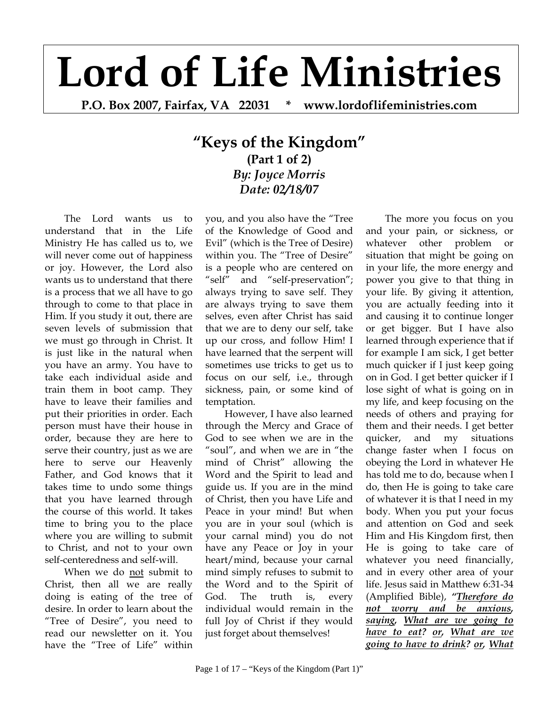## **Lord of Life Ministries**

**P.O. Box 2007, Fairfax, VA 22031 \* www.lordoflifeministries.com** 

## **"Keys of the Kingdom" (Part 1 of 2)** *By: Joyce Morris Date: 02/18/07*

The Lord wants us to understand that in the Life Ministry He has called us to, we will never come out of happiness or joy. However, the Lord also wants us to understand that there is a process that we all have to go through to come to that place in Him. If you study it out, there are seven levels of submission that we must go through in Christ. It is just like in the natural when you have an army. You have to take each individual aside and train them in boot camp. They have to leave their families and put their priorities in order. Each person must have their house in order, because they are here to serve their country, just as we are here to serve our Heavenly Father, and God knows that it takes time to undo some things that you have learned through the course of this world. It takes time to bring you to the place where you are willing to submit to Christ, and not to your own self-centeredness and self-will.

When we do not submit to Christ, then all we are really doing is eating of the tree of desire. In order to learn about the "Tree of Desire", you need to read our newsletter on it. You have the "Tree of Life" within

you, and you also have the "Tree of the Knowledge of Good and Evil" (which is the Tree of Desire) within you. The "Tree of Desire" is a people who are centered on "self" and "self-preservation"; always trying to save self. They are always trying to save them selves, even after Christ has said that we are to deny our self, take up our cross, and follow Him! I have learned that the serpent will sometimes use tricks to get us to focus on our self, i.e., through sickness, pain, or some kind of temptation.

However, I have also learned through the Mercy and Grace of God to see when we are in the "soul", and when we are in "the mind of Christ" allowing the Word and the Spirit to lead and guide us. If you are in the mind of Christ, then you have Life and Peace in your mind! But when you are in your soul (which is your carnal mind) you do not have any Peace or Joy in your heart/mind, because your carnal mind simply refuses to submit to the Word and to the Spirit of God. The truth is, every individual would remain in the full Joy of Christ if they would just forget about themselves!

The more you focus on you and your pain, or sickness, or whatever other problem or situation that might be going on in your life, the more energy and power you give to that thing in your life. By giving it attention, you are actually feeding into it and causing it to continue longer or get bigger. But I have also learned through experience that if for example I am sick, I get better much quicker if I just keep going on in God. I get better quicker if I lose sight of what is going on in my life, and keep focusing on the needs of others and praying for them and their needs. I get better quicker, and my situations change faster when I focus on obeying the Lord in whatever He has told me to do, because when I do, then He is going to take care of whatever it is that I need in my body. When you put your focus and attention on God and seek Him and His Kingdom first, then He is going to take care of whatever you need financially, and in every other area of your life. Jesus said in Matthew 6:31-34 (Amplified Bible), *"Therefore do not worry and be anxious, saying, What are we going to have to eat? or, What are we going to have to drink? or, What*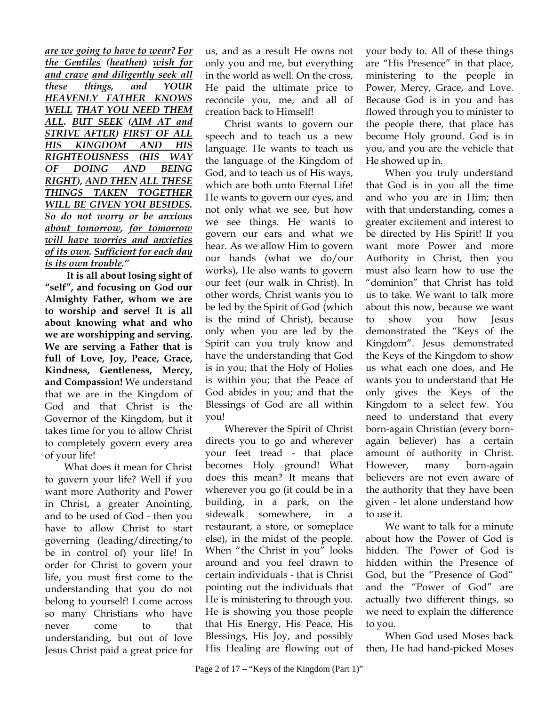*are we going to have to wear? For the Gentiles (heathen) wish for and crave and diligently seek all these things, and YOUR HEAVENLY FATHER KNOWS WELL THAT YOU NEED THEM ALL. BUT SEEK (AIM AT and STRIVE AFTER) FIRST OF ALL HIS KINGDOM AND HIS RIGHTEOUSNESS (HIS WAY OF DOING AND BEING RIGHT), AND THEN ALL THESE THINGS TAKEN TOGETHER WILL BE GIVEN YOU BESIDES. So do not worry or be anxious about tomorrow, for tomorrow will have worries and anxieties of its own. Sufficient for each day is its own trouble."* 

**It is all about losing sight of "self", and focusing on God our Almighty Father, whom we are to worship and serve! It is all about knowing what and who we are worshipping and serving. We are serving a Father that is full of Love, Joy, Peace, Grace, Kindness, Gentleness, Mercy, and Compassion!** We understand that we are in the Kingdom of God and that Christ is the Governor of the Kingdom, but it takes time for you to allow Christ to completely govern every area of your life!

What does it mean for Christ to govern your life? Well if you want more Authority and Power in Christ, a greater Anointing, and to be used of God - then you have to allow Christ to start governing (leading/directing/to be in control of) your life! In order for Christ to govern your life, you must first come to the understanding that you do not belong to yourself! I come across so many Christians who have never come to that understanding, but out of love Jesus Christ paid a great price for

us, and as a result He owns not only you and me, but everything in the world as well. On the cross, He paid the ultimate price to reconcile you, me, and all of creation back to Himself!

Christ wants to govern our speech and to teach us a new language. He wants to teach us the language of the Kingdom of God, and to teach us of His ways, which are both unto Eternal Life! He wants to govern our eyes, and not only what we see, but how we see things. He wants to govern our ears and what we hear. As we allow Him to govern our hands (what we do/our works), He also wants to govern our feet (our walk in Christ). In other words, Christ wants you to be led by the Spirit of God (which is the mind of Christ), because only when you are led by the Spirit can you truly know and have the understanding that God is in you; that the Holy of Holies is within you; that the Peace of God abides in you; and that the Blessings of God are all within you!

Wherever the Spirit of Christ directs you to go and wherever your feet tread - that place becomes Holy ground! What does this mean? It means that wherever you go (it could be in a building, in a park, on the sidewalk somewhere, in a restaurant, a store, or someplace else), in the midst of the people. When "the Christ in you" looks around and you feel drawn to certain individuals - that is Christ pointing out the individuals that He is ministering to through you. He is showing you those people that His Energy, His Peace, His Blessings, His Joy, and possibly His Healing are flowing out of

your body to. All of these things are "His Presence" in that place, ministering to the people in Power, Mercy, Grace, and Love. Because God is in you and has flowed through you to minister to the people there, that place has become Holy ground. God is in you, and you are the vehicle that He showed up in.

When you truly understand that God is in you all the time and who you are in Him; then with that understanding, comes a greater excitement and interest to be directed by His Spirit! If you want more Power and more Authority in Christ, then you must also learn how to use the "dominion" that Christ has told us to take. We want to talk more about this now, because we want to show you how Jesus demonstrated the "Keys of the Kingdom". Jesus demonstrated the Keys of the Kingdom to show us what each one does, and He wants you to understand that He only gives the Keys of the Kingdom to a select few. You need to understand that every born-again Christian (every bornagain believer) has a certain amount of authority in Christ. However, many born-again believers are not even aware of the authority that they have been given - let alone understand how to use it.

We want to talk for a minute about how the Power of God is hidden. The Power of God is hidden within the Presence of God, but the "Presence of God" and the "Power of God" are actually two different things, so we need to explain the difference to you.

When God used Moses back then, He had hand-picked Moses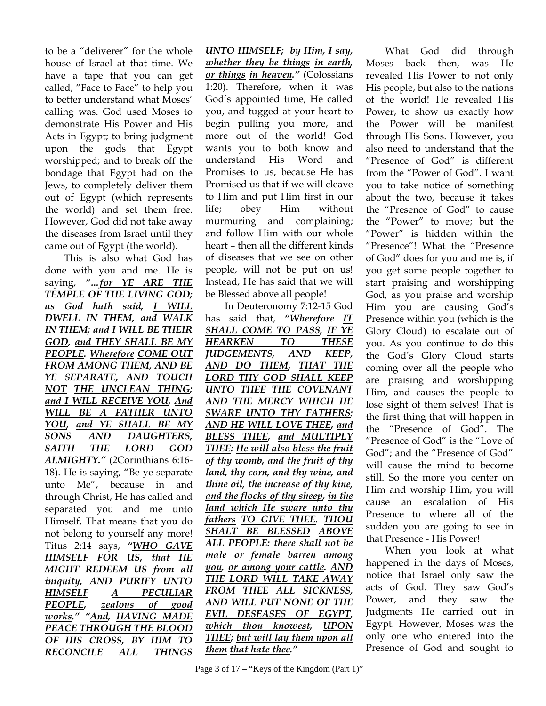to be a "deliverer" for the whole house of Israel at that time. We have a tape that you can get called, "Face to Face" to help you to better understand what Moses' calling was. God used Moses to demonstrate His Power and His Acts in Egypt; to bring judgment upon the gods that Egypt worshipped; and to break off the bondage that Egypt had on the Jews, to completely deliver them out of Egypt (which represents the world) and set them free. However, God did not take away the diseases from Israel until they came out of Egypt (the world).

This is also what God has done with you and me. He is saying, *"…for YE ARE THE TEMPLE OF THE LIVING GOD; as God hath said, I WILL DWELL IN THEM, and WALK IN THEM; and I WILL BE THEIR GOD, and THEY SHALL BE MY PEOPLE. Wherefore COME OUT FROM AMONG THEM, AND BE YE SEPARATE, AND TOUCH NOT THE UNCLEAN THING; and I WILL RECEIVE YOU, And WILL BE A FATHER UNTO YOU, and YE SHALL BE MY SONS AND DAUGHTERS, SAITH THE LORD GOD ALMIGHTY."* (2Corinthians 6:16- 18). He is saying, "Be ye separate unto Me", because in and through Christ, He has called and separated you and me unto Himself. That means that you do not belong to yourself any more! Titus 2:14 says, *"WHO GAVE HIMSELF FOR US, that HE MIGHT REDEEM US from all iniquity, AND PURIFY UNTO HIMSELF A PECULIAR PEOPLE, zealous of good works." "And, HAVING MADE PEACE THROUGH THE BLOOD OF HIS CROSS, BY HIM TO RECONCILE ALL THINGS* 

*UNTO HIMSELF; by Him, I say, whether they be things in earth, or things in heaven."* (Colossians 1:20). Therefore, when it was God's appointed time, He called you, and tugged at your heart to begin pulling you more, and more out of the world! God wants you to both know and understand His Word and Promises to us, because He has Promised us that if we will cleave to Him and put Him first in our life; obey Him without murmuring and complaining; and follow Him with our whole heart – then all the different kinds of diseases that we see on other people, will not be put on us! Instead, He has said that we will be Blessed above all people!

In Deuteronomy 7:12-15 God has said that, *"Wherefore IT SHALL COME TO PASS, IF YE HEARKEN TO THESE JUDGEMENTS, AND KEEP, AND DO THEM, THAT THE LORD THY GOD SHALL KEEP UNTO THEE THE COVENANT AND THE MERCY WHICH HE SWARE UNTO THY FATHERS: AND HE WILL LOVE THEE, and BLESS THEE, and MULTIPLY THEE: He will also bless the fruit of thy womb, and the fruit of thy land, thy corn, and thy wine, and thine oil, the increase of thy kine, and the flocks of thy sheep, in the land which He sware unto thy fathers TO GIVE THEE. THOU SHALT BE BLESSED ABOVE ALL PEOPLE: there shall not be male or female barren among you, or among your cattle. AND THE LORD WILL TAKE AWAY FROM THEE ALL SICKNESS, AND WILL PUT NONE OF THE EVIL DESEASES OF EGYPT, which thou knowest, UPON THEE; but will lay them upon all them that hate thee."* 

revealed His Power to not only His people, but also to the nations of the world! He revealed His Power, to show us exactly how the Power will be manifest through His Sons. However, you also need to understand that the "Presence of God" is different from the "Power of God". I want you to take notice of something about the two, because it takes the "Presence of God" to cause the "Power" to move; but the "Power" is hidden within the "Presence"! What the "Presence of God" does for you and me is, if you get some people together to start praising and worshipping God, as you praise and worship Him you are causing God's Presence within you (which is the Glory Cloud) to escalate out of you. As you continue to do this the God's Glory Cloud starts coming over all the people who are praising and worshipping Him, and causes the people to lose sight of them selves! That is the first thing that will happen in the "Presence of God". The "Presence of God" is the "Love of God"; and the "Presence of God" will cause the mind to become still. So the more you center on Him and worship Him, you will cause an escalation of His Presence to where all of the sudden you are going to see in that Presence - His Power!

What God did through Moses back then, was He

When you look at what happened in the days of Moses, notice that Israel only saw the acts of God. They saw God's Power, and they saw the Judgments He carried out in Egypt. However, Moses was the only one who entered into the Presence of God and sought to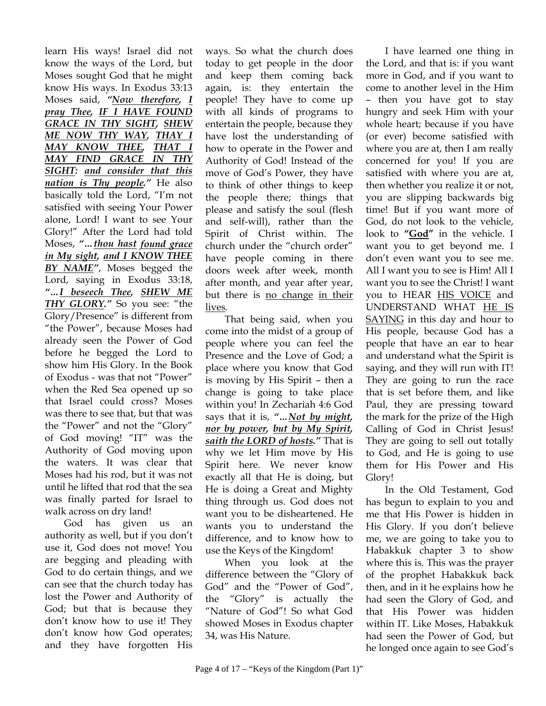learn His ways! Israel did not know the ways of the Lord, but Moses sought God that he might know His ways. In Exodus 33:13 Moses said, *"Now therefore, I pray Thee, IF I HAVE FOUND GRACE IN THY SIGHT, SHEW ME NOW THY WAY, THAY I MAY KNOW THEE, THAT I MAY FIND GRACE IN THY SIGHT: and consider that this nation is Thy people."* He also basically told the Lord, "I'm not satisfied with seeing Your Power alone, Lord! I want to see Your Glory!" After the Lord had told Moses, *"…thou hast found grace in My sight, and I KNOW THEE BY NAME"*, Moses begged the Lord, saying in Exodus 33:18, *"…I beseech Thee, SHEW ME THY GLORY."* So you see: "the Glory/Presence" is different from "the Power", because Moses had already seen the Power of God before he begged the Lord to show him His Glory. In the Book of Exodus - was that not "Power" when the Red Sea opened up so that Israel could cross? Moses was there to see that, but that was the "Power" and not the "Glory" of God moving! "IT" was the Authority of God moving upon the waters. It was clear that Moses had his rod, but it was not until he lifted that rod that the sea was finally parted for Israel to walk across on dry land!

God has given us an authority as well, but if you don't use it, God does not move! You are begging and pleading with God to do certain things, and we can see that the church today has lost the Power and Authority of God; but that is because they don't know how to use it! They don't know how God operates; and they have forgotten His

ways. So what the church does today to get people in the door and keep them coming back again, is: they entertain the people! They have to come up with all kinds of programs to entertain the people, because they have lost the understanding of how to operate in the Power and Authority of God! Instead of the move of God's Power, they have to think of other things to keep the people there; things that please and satisfy the soul (flesh and self-will), rather than the Spirit of Christ within. The church under the "church order" have people coming in there doors week after week, month after month, and year after year, but there is no change in their lives.

That being said, when you come into the midst of a group of people where you can feel the Presence and the Love of God; a place where you know that God is moving by His Spirit – then a change is going to take place within you! In Zechariah 4:6 God says that it is, *"…Not by might, nor by power, but by My Spirit, saith the LORD of hosts."* That is why we let Him move by His Spirit here. We never know exactly all that He is doing, but He is doing a Great and Mighty thing through us. God does not want you to be disheartened. He wants you to understand the difference, and to know how to use the Keys of the Kingdom!

When you look at the difference between the "Glory of God" and the "Power of God", the "Glory" is actually the "Nature of God"! So what God showed Moses in Exodus chapter 34, was His Nature.

I have learned one thing in the Lord, and that is: if you want more in God, and if you want to come to another level in the Him – then you have got to stay hungry and seek Him with your whole heart; because if you have (or ever) become satisfied with where you are at, then I am really concerned for you! If you are satisfied with where you are at, then whether you realize it or not, you are slipping backwards big time! But if you want more of God, do not look to the vehicle, look to **"God"** in the vehicle. I want you to get beyond me. I don't even want you to see me. All I want you to see is Him! All I want you to see the Christ! I want you to HEAR HIS VOICE and UNDERSTAND WHAT HE IS SAYING in this day and hour to His people, because God has a people that have an ear to hear and understand what the Spirit is saying, and they will run with IT! They are going to run the race that is set before them, and like Paul, they are pressing toward the mark for the prize of the High Calling of God in Christ Jesus! They are going to sell out totally to God, and He is going to use them for His Power and His Glory!

In the Old Testament, God has begun to explain to you and me that His Power is hidden in His Glory. If you don't believe me, we are going to take you to Habakkuk chapter 3 to show where this is. This was the prayer of the prophet Habakkuk back then, and in it he explains how he had seen the Glory of God, and that His Power was hidden within IT. Like Moses, Habakkuk had seen the Power of God, but he longed once again to see God's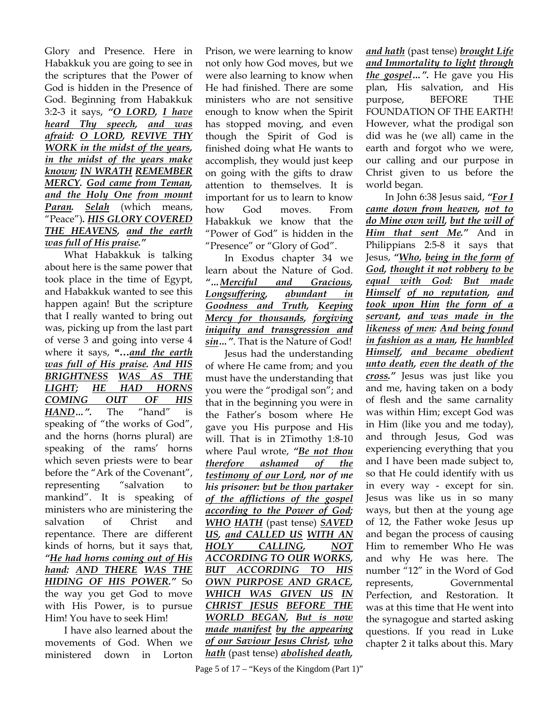Glory and Presence. Here in Habakkuk you are going to see in the scriptures that the Power of God is hidden in the Presence of God. Beginning from Habakkuk 3:2-3 it says, *"O LORD, I have heard Thy speech, and was afraid: O LORD, REVIVE THY WORK in the midst of the years, in the midst of the years make known; IN WRATH REMEMBER MERCY. God came from Teman, and the Holy One from mount Paran. Selah* (which means, "Peace")*. HIS GLORY COVERED THE HEAVENS, and the earth was full of His praise."*

What Habakkuk is talking about here is the same power that took place in the time of Egypt, and Habakkuk wanted to see this happen again! But the scripture that I really wanted to bring out was, picking up from the last part of verse 3 and going into verse 4 where it says, **"…***and the earth was full of His praise. And HIS BRIGHTNESS WAS AS THE LIGHT; HE HAD HORNS COMING OUT OF HIS HAND…".* The "hand" is speaking of "the works of God", and the horns (horns plural) are speaking of the rams' horns which seven priests were to bear before the "Ark of the Covenant", representing "salvation to mankind". It is speaking of ministers who are ministering the salvation of Christ and repentance. There are different kinds of horns, but it says that, *"He had horns coming out of His hand: AND THERE WAS THE HIDING OF HIS POWER."* So the way you get God to move with His Power, is to pursue Him! You have to seek Him!

I have also learned about the movements of God. When we ministered down in Lorton Prison, we were learning to know not only how God moves, but we were also learning to know when He had finished. There are some ministers who are not sensitive enough to know when the Spirit has stopped moving, and even though the Spirit of God is finished doing what He wants to accomplish, they would just keep on going with the gifts to draw attention to themselves. It is important for us to learn to know how God moves. From Habakkuk we know that the "Power of God" is hidden in the "Presence" or "Glory of God".

In Exodus chapter 34 we learn about the Nature of God. *"…Merciful and Gracious, Longsuffering, abundant in Goodness and Truth, Keeping Mercy for thousands, forgiving iniquity and transgression and sin…"*. That is the Nature of God!

Jesus had the understanding of where He came from; and you must have the understanding that you were the "prodigal son"; and that in the beginning you were in the Father's bosom where He gave you His purpose and His will. That is in 2Timothy 1:8-10 where Paul wrote, *"Be not thou therefore ashamed of the testimony of our Lord, nor of me his prisoner: but be thou partaker of the afflictions of the gospel according to the Power of God; WHO HATH* (past tense) *SAVED US, and CALLED US WITH AN HOLY CALLING, NOT ACCORDING TO OUR WORKS, BUT ACCORDING TO HIS OWN PURPOSE AND GRACE, WHICH WAS GIVEN US IN CHRIST JESUS BEFORE THE WORLD BEGAN, But is now made manifest by the appearing of our Saviour Jesus Christ, who hath* (past tense) *abolished death,* 

*and hath* (past tense) *brought Life and Immortality to light through the gospel…".* He gave you His plan, His salvation, and His purpose, BEFORE THE FOUNDATION OF THE EARTH! However, what the prodigal son did was he (we all) came in the earth and forgot who we were, our calling and our purpose in Christ given to us before the world began.

In John 6:38 Jesus said, *"For I came down from heaven, not to do Mine own will, but the will of Him that sent Me."* And in Philippians 2:5-8 it says that Jesus, *"Who, being in the form of God, thought it not robbery to be equal with God: But made Himself of no reputation, and took upon Him the form of a servant, and was made in the likeness of men: And being found in fashion as a man, He humbled Himself, and became obedient unto death, even the death of the cross."* Jesus was just like you and me, having taken on a body of flesh and the same carnality was within Him; except God was in Him (like you and me today), and through Jesus, God was experiencing everything that you and I have been made subject to, so that He could identify with us in every way - except for sin. Jesus was like us in so many ways, but then at the young age of 12, the Father woke Jesus up and began the process of causing Him to remember Who He was and why He was here. The number "12" in the Word of God represents, Governmental Perfection, and Restoration. It was at this time that He went into the synagogue and started asking questions. If you read in Luke chapter 2 it talks about this. Mary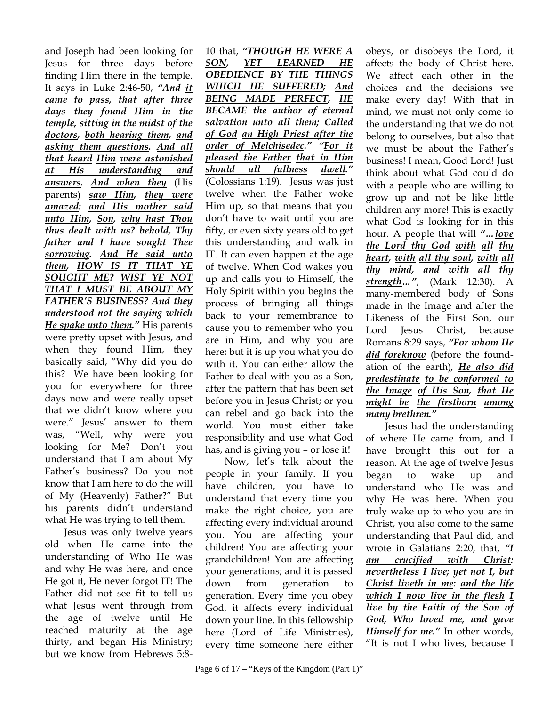and Joseph had been looking for Jesus for three days before finding Him there in the temple. It says in Luke 2:46-50, *"And it came to pass, that after three days they found Him in the temple, sitting in the midst of the doctors, both hearing them, and asking them questions. And all that heard Him were astonished at His understanding and answers. And when they* (His parents) *saw Him, they were amazed: and His mother said unto Him, Son, why hast Thou thus dealt with us? behold, Thy father and I have sought Thee sorrowing. And He said unto them, HOW IS IT THAT YE SOUGHT ME? WIST YE NOT THAT I MUST BE ABOUT MY FATHER'S BUSINESS? And they understood not the saying which He spake unto them."* His parents were pretty upset with Jesus, and when they found Him, they basically said, "Why did you do this? We have been looking for you for everywhere for three days now and were really upset that we didn't know where you were." Jesus' answer to them was, "Well, why were you looking for Me? Don't you understand that I am about My Father's business? Do you not know that I am here to do the will of My (Heavenly) Father?" But his parents didn't understand what He was trying to tell them.

Jesus was only twelve years old when He came into the understanding of Who He was and why He was here, and once He got it, He never forgot IT! The Father did not see fit to tell us what Jesus went through from the age of twelve until He reached maturity at the age thirty, and began His Ministry; but we know from Hebrews 5:8-

10 that, *"THOUGH HE WERE A SON, YET LEARNED HE OBEDIENCE BY THE THINGS WHICH HE SUFFERED; And BEING MADE PERFECT, HE BECAME the author of eternal salvation unto all them; Called of God an High Priest after the order of Melchisedec." "For it pleased the Father that in Him should all fullness dwell."* (Colossians 1:19). Jesus was just twelve when the Father woke Him up, so that means that you don't have to wait until you are fifty, or even sixty years old to get this understanding and walk in IT. It can even happen at the age of twelve. When God wakes you up and calls you to Himself, the Holy Spirit within you begins the process of bringing all things back to your remembrance to cause you to remember who you are in Him, and why you are here; but it is up you what you do with it. You can either allow the Father to deal with you as a Son, after the pattern that has been set before you in Jesus Christ; or you can rebel and go back into the world. You must either take responsibility and use what God has, and is giving you – or lose it!

Now, let's talk about the people in your family. If you have children, you have to understand that every time you make the right choice, you are affecting every individual around you. You are affecting your children! You are affecting your grandchildren! You are affecting your generations; and it is passed down from generation to generation. Every time you obey God, it affects every individual down your line. In this fellowship here (Lord of Life Ministries), every time someone here either

obeys, or disobeys the Lord, it affects the body of Christ here. We affect each other in the choices and the decisions we make every day! With that in mind, we must not only come to the understanding that we do not belong to ourselves, but also that we must be about the Father's business! I mean, Good Lord! Just think about what God could do with a people who are willing to grow up and not be like little children any more! This is exactly what God is looking for in this hour. A people that will *"…love the Lord thy God with all thy heart, with all thy soul, with all thy mind, and with all thy strength…"*, (Mark 12:30). A many-membered body of Sons made in the Image and after the Likeness of the First Son, our Lord Jesus Christ, because Romans 8:29 says, *"For whom He did foreknow* (before the foundation of the earth)*, He also did predestinate to be conformed to the Image of His Son, that He might be the firstborn among many brethren."*

Jesus had the understanding of where He came from, and I have brought this out for a reason. At the age of twelve Jesus began to wake up and understand who He was and why He was here. When you truly wake up to who you are in Christ, you also come to the same understanding that Paul did, and wrote in Galatians 2:20, that, *"I am crucified with Christ: nevertheless I live; yet not I, but Christ liveth in me: and the life which I now live in the flesh I live by the Faith of the Son of God, Who loved me, and gave Himself for me."* In other words, "It is not I who lives, because I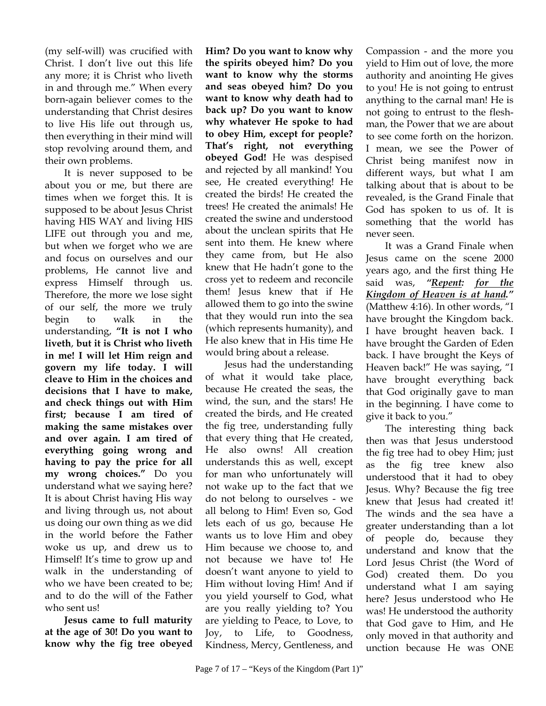(my self-will) was crucified with Christ. I don't live out this life any more; it is Christ who liveth in and through me." When every born-again believer comes to the understanding that Christ desires to live His life out through us, then everything in their mind will stop revolving around them, and their own problems.

It is never supposed to be about you or me, but there are times when we forget this. It is supposed to be about Jesus Christ having HIS WAY and living HIS LIFE out through you and me, but when we forget who we are and focus on ourselves and our problems, He cannot live and express Himself through us. Therefore, the more we lose sight of our self, the more we truly begin to walk in the understanding, **"It is not I who liveth**, **but it is Christ who liveth in me! I will let Him reign and govern my life today. I will cleave to Him in the choices and decisions that I have to make, and check things out with Him first; because I am tired of making the same mistakes over and over again. I am tired of everything going wrong and having to pay the price for all my wrong choices."** Do you understand what we saying here? It is about Christ having His way and living through us, not about us doing our own thing as we did in the world before the Father woke us up, and drew us to Himself! It's time to grow up and walk in the understanding of who we have been created to be; and to do the will of the Father who sent us!

**Jesus came to full maturity at the age of 30! Do you want to know why the fig tree obeyed** **Him? Do you want to know why the spirits obeyed him? Do you want to know why the storms and seas obeyed him? Do you want to know why death had to back up? Do you want to know why whatever He spoke to had to obey Him, except for people? That's right, not everything obeyed God!** He was despised and rejected by all mankind! You see, He created everything! He created the birds! He created the trees! He created the animals! He created the swine and understood about the unclean spirits that He sent into them. He knew where they came from, but He also knew that He hadn't gone to the cross yet to redeem and reconcile them! Jesus knew that if He allowed them to go into the swine that they would run into the sea (which represents humanity), and He also knew that in His time He would bring about a release.

Jesus had the understanding of what it would take place, because He created the seas, the wind, the sun, and the stars! He created the birds, and He created the fig tree, understanding fully that every thing that He created, He also owns! All creation understands this as well, except for man who unfortunately will not wake up to the fact that we do not belong to ourselves - we all belong to Him! Even so, God lets each of us go, because He wants us to love Him and obey Him because we choose to, and not because we have to! He doesn't want anyone to yield to Him without loving Him! And if you yield yourself to God, what are you really yielding to? You are yielding to Peace, to Love, to Joy, to Life, to Goodness, Kindness, Mercy, Gentleness, and

Compassion - and the more you yield to Him out of love, the more authority and anointing He gives to you! He is not going to entrust anything to the carnal man! He is not going to entrust to the fleshman, the Power that we are about to see come forth on the horizon. I mean, we see the Power of Christ being manifest now in different ways, but what I am talking about that is about to be revealed, is the Grand Finale that God has spoken to us of. It is something that the world has never seen.

It was a Grand Finale when Jesus came on the scene 2000 years ago, and the first thing He said was, *"Repent: for the Kingdom of Heaven is at hand."* (Matthew 4:16). In other words, "I have brought the Kingdom back. I have brought heaven back. I have brought the Garden of Eden back. I have brought the Keys of Heaven back!" He was saying, "I have brought everything back that God originally gave to man in the beginning. I have come to give it back to you."

The interesting thing back then was that Jesus understood the fig tree had to obey Him; just as the fig tree knew also understood that it had to obey Jesus. Why? Because the fig tree knew that Jesus had created it! The winds and the sea have a greater understanding than a lot of people do, because they understand and know that the Lord Jesus Christ (the Word of God) created them. Do you understand what I am saying here? Jesus understood who He was! He understood the authority that God gave to Him, and He only moved in that authority and unction because He was ONE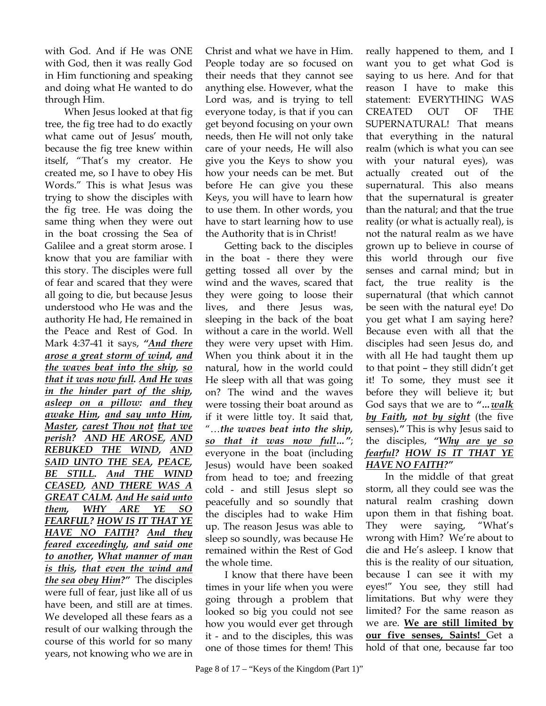with God. And if He was ONE with God, then it was really God in Him functioning and speaking and doing what He wanted to do through Him.

When Jesus looked at that fig tree, the fig tree had to do exactly what came out of Jesus' mouth, because the fig tree knew within itself, "That's my creator. He created me, so I have to obey His Words." This is what Jesus was trying to show the disciples with the fig tree. He was doing the same thing when they were out in the boat crossing the Sea of Galilee and a great storm arose. I know that you are familiar with this story. The disciples were full of fear and scared that they were all going to die, but because Jesus understood who He was and the authority He had, He remained in the Peace and Rest of God. In Mark 4:37-41 it says, *"And there arose a great storm of wind, and the waves beat into the ship, so that it was now full. And He was in the hinder part of the ship, asleep on a pillow: and they awake Him, and say unto Him, Master, carest Thou not that we perish? AND HE AROSE, AND REBUKED THE WIND, AND SAID UNTO THE SEA, PEACE, BE STILL. And THE WIND CEASED, AND THERE WAS A GREAT CALM. And He said unto them, WHY ARE YE SO FEARFUL? HOW IS IT THAT YE HAVE NO FAITH? And they feared exceedingly, and said one to another, What manner of man is this, that even the wind and the sea obey Him?"* The disciples were full of fear, just like all of us have been, and still are at times. We developed all these fears as a result of our walking through the course of this world for so many years, not knowing who we are in

Christ and what we have in Him. People today are so focused on their needs that they cannot see anything else. However, what the Lord was, and is trying to tell everyone today, is that if you can get beyond focusing on your own needs, then He will not only take care of your needs, He will also give you the Keys to show you how your needs can be met. But before He can give you these Keys, you will have to learn how to use them. In other words, you have to start learning how to use the Authority that is in Christ!

Getting back to the disciples in the boat - there they were getting tossed all over by the wind and the waves, scared that they were going to loose their lives, and there Jesus was, sleeping in the back of the boat without a care in the world. Well they were very upset with Him. When you think about it in the natural, how in the world could He sleep with all that was going on? The wind and the waves were tossing their boat around as if it were little toy. It said that, "…*the waves beat into the ship, so that it was now full…"*; everyone in the boat (including Jesus) would have been soaked from head to toe; and freezing cold - and still Jesus slept so peacefully and so soundly that the disciples had to wake Him up. The reason Jesus was able to sleep so soundly, was because He remained within the Rest of God the whole time.

I know that there have been times in your life when you were going through a problem that looked so big you could not see how you would ever get through it - and to the disciples, this was one of those times for them! This

Page 8 of  $17 -$  "Keys of the Kingdom (Part 1)"

really happened to them, and I want you to get what God is saying to us here. And for that reason I have to make this statement: EVERYTHING WAS CREATED OUT OF THE SUPERNATURAL! That means that everything in the natural realm (which is what you can see with your natural eyes), was actually created out of the supernatural. This also means that the supernatural is greater than the natural; and that the true reality (or what is actually real), is not the natural realm as we have grown up to believe in course of this world through our five senses and carnal mind; but in fact, the true reality is the supernatural (that which cannot be seen with the natural eye! Do you get what I am saying here? Because even with all that the disciples had seen Jesus do, and with all He had taught them up to that point – they still didn't get it! To some, they must see it before they will believe it; but God says that we are to *"…walk by Faith, not by sight* (the five senses)*."* This is why Jesus said to the disciples, *"Why are ye so fearful? HOW IS IT THAT YE HAVE NO FAITH?"*

In the middle of that great storm, all they could see was the natural realm crashing down upon them in that fishing boat. They were saying, "What's wrong with Him? We're about to die and He's asleep. I know that this is the reality of our situation, because I can see it with my eyes!" You see, they still had limitations. But why were they limited? For the same reason as we are. **We are still limited by our five senses, Saints!** Get a hold of that one, because far too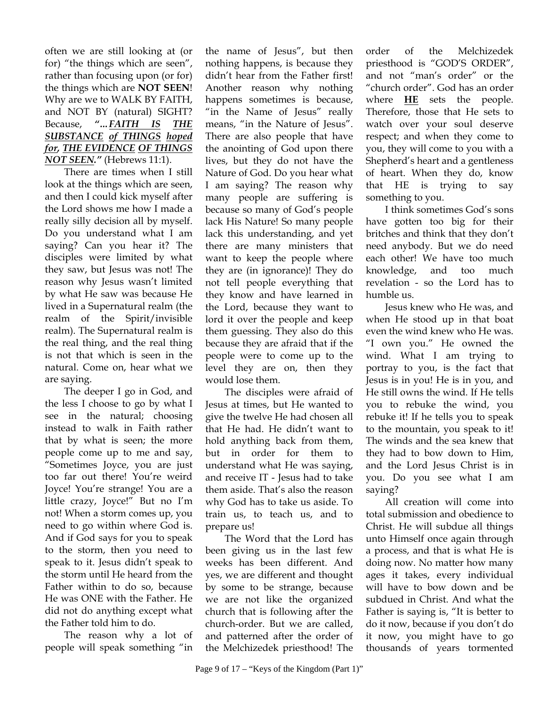often we are still looking at (or for) "the things which are seen", rather than focusing upon (or for) the things which are **NOT SEEN**! Why are we to WALK BY FAITH, and NOT BY (natural) SIGHT? Because, *"…FAITH IS THE SUBSTANCE of THINGS hoped for, THE EVIDENCE OF THINGS NOT SEEN."* (Hebrews 11:1).

There are times when I still look at the things which are seen, and then I could kick myself after the Lord shows me how I made a really silly decision all by myself. Do you understand what I am saying? Can you hear it? The disciples were limited by what they saw, but Jesus was not! The reason why Jesus wasn't limited by what He saw was because He lived in a Supernatural realm (the realm of the Spirit/invisible realm). The Supernatural realm is the real thing, and the real thing is not that which is seen in the natural. Come on, hear what we are saying.

The deeper I go in God, and the less I choose to go by what I see in the natural; choosing instead to walk in Faith rather that by what is seen; the more people come up to me and say, "Sometimes Joyce, you are just too far out there! You're weird Joyce! You're strange! You are a little crazy, Joyce!" But no I'm not! When a storm comes up, you need to go within where God is. And if God says for you to speak to the storm, then you need to speak to it. Jesus didn't speak to the storm until He heard from the Father within to do so, because He was ONE with the Father. He did not do anything except what the Father told him to do.

The reason why a lot of people will speak something "in

the name of Jesus", but then nothing happens, is because they didn't hear from the Father first! Another reason why nothing happens sometimes is because, "in the Name of Jesus" really means, "in the Nature of Jesus". There are also people that have the anointing of God upon there lives, but they do not have the Nature of God. Do you hear what I am saying? The reason why many people are suffering is because so many of God's people lack His Nature! So many people lack this understanding, and yet there are many ministers that want to keep the people where they are (in ignorance)! They do not tell people everything that they know and have learned in the Lord, because they want to lord it over the people and keep them guessing. They also do this because they are afraid that if the people were to come up to the level they are on, then they would lose them.

The disciples were afraid of Jesus at times, but He wanted to give the twelve He had chosen all that He had. He didn't want to hold anything back from them, but in order for them to understand what He was saying, and receive IT - Jesus had to take them aside. That's also the reason why God has to take us aside. To train us, to teach us, and to prepare us!

The Word that the Lord has been giving us in the last few weeks has been different. And yes, we are different and thought by some to be strange, because we are not like the organized church that is following after the church-order. But we are called, and patterned after the order of the Melchizedek priesthood! The

order of the Melchizedek priesthood is "GOD'S ORDER", and not "man's order" or the "church order". God has an order where **HE** sets the people. Therefore, those that He sets to watch over your soul deserve respect; and when they come to you, they will come to you with a Shepherd's heart and a gentleness of heart. When they do, know that HE is trying to say something to you.

I think sometimes God's sons have gotten too big for their britches and think that they don't need anybody. But we do need each other! We have too much knowledge, and too much revelation - so the Lord has to humble us.

Jesus knew who He was, and when He stood up in that boat even the wind knew who He was. "I own you." He owned the wind. What I am trying to portray to you, is the fact that Jesus is in you! He is in you, and He still owns the wind. If He tells you to rebuke the wind, you rebuke it! If he tells you to speak to the mountain, you speak to it! The winds and the sea knew that they had to bow down to Him, and the Lord Jesus Christ is in you. Do you see what I am saying?

All creation will come into total submission and obedience to Christ. He will subdue all things unto Himself once again through a process, and that is what He is doing now. No matter how many ages it takes, every individual will have to bow down and be subdued in Christ. And what the Father is saying is, "It is better to do it now, because if you don't do it now, you might have to go thousands of years tormented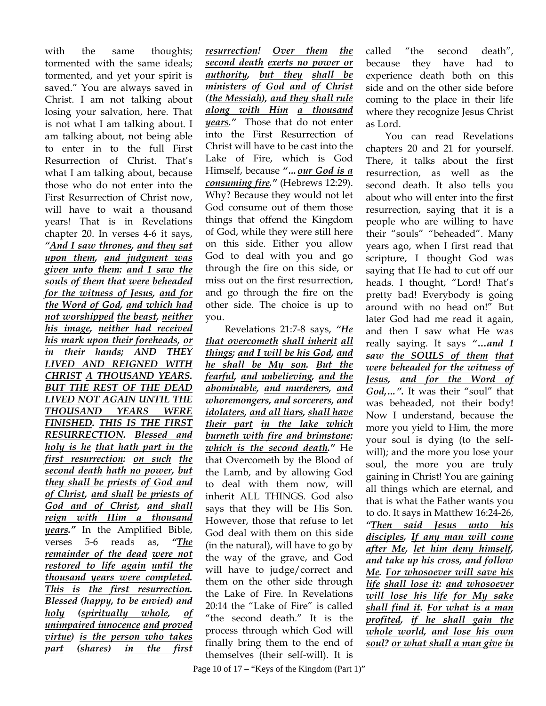with the same thoughts; tormented with the same ideals; tormented, and yet your spirit is saved." You are always saved in Christ. I am not talking about losing your salvation, here. That is not what I am talking about. I am talking about, not being able to enter in to the full First Resurrection of Christ. That's what I am talking about, because those who do not enter into the First Resurrection of Christ now, will have to wait a thousand years! That is in Revelations chapter 20. In verses 4-6 it says, *"And I saw thrones, and they sat upon them, and judgment was given unto them: and I saw the souls of them that were beheaded for the witness of Jesus, and for the Word of God, and which had not worshipped the beast, neither his image, neither had received his mark upon their foreheads, or in their hands; AND THEY LIVED AND REIGNED WITH CHRIST A THOUSAND YEARS. BUT THE REST OF THE DEAD LIVED NOT AGAIN UNTIL THE THOUSAND YEARS WERE FINISHED. THIS IS THE FIRST RESURRECTION. Blessed and holy is he that hath part in the first resurrection: on such the second death hath no power, but they shall be priests of God and of Christ, and shall be priests of God and of Christ, and shall reign with Him a thousand years."* In the Amplified Bible, verses 5-6 reads as, *"The remainder of the dead were not restored to life again until the thousand years were completed. This is the first resurrection. Blessed (happy, to be envied) and holy (spiritually whole, of unimpaired innocence and proved virtue) is the person who takes part (shares) in the first* 

*resurrection! Over them the second death exerts no power or authority, but they shall be ministers of God and of Christ (the Messiah), and they shall rule along with Him a thousand years."* Those that do not enter into the First Resurrection of Christ will have to be cast into the Lake of Fire, which is God Himself, because *"…our God is a consuming fire."* (Hebrews 12:29). Why? Because they would not let God consume out of them those things that offend the Kingdom of God, while they were still here on this side. Either you allow God to deal with you and go through the fire on this side, or miss out on the first resurrection, and go through the fire on the other side. The choice is up to you.

Revelations 21:7-8 says, *"He that overcometh shall inherit all things; and I will be his God, and he shall be My son. But the fearful, and unbelieving, and the abominable, and murderers, and whoremongers, and sorcerers, and idolaters, and all liars, shall have their part in the lake which burneth with fire and brimstone: which is the second death."* He that Overcometh by the Blood of the Lamb, and by allowing God to deal with them now, will inherit ALL THINGS. God also says that they will be His Son. However, those that refuse to let God deal with them on this side (in the natural), will have to go by the way of the grave, and God will have to judge/correct and them on the other side through the Lake of Fire. In Revelations 20:14 the "Lake of Fire" is called "the second death." It is the process through which God will finally bring them to the end of themselves (their self-will). It is

called "the second death", because they have had to experience death both on this side and on the other side before coming to the place in their life where they recognize Jesus Christ as Lord.

You can read Revelations chapters 20 and 21 for yourself. There, it talks about the first resurrection, as well as the second death. It also tells you about who will enter into the first resurrection, saying that it is a people who are willing to have their "souls" "beheaded". Many years ago, when I first read that scripture, I thought God was saying that He had to cut off our heads. I thought, "Lord! That's pretty bad! Everybody is going around with no head on!" But later God had me read it again, and then I saw what He was really saying. It says *"***…***and I saw the SOULS of them that were beheaded for the witness of Jesus, and for the Word of God,…".* It was their "soul" that was beheaded, not their body! Now I understand, because the more you yield to Him, the more your soul is dying (to the selfwill); and the more you lose your soul, the more you are truly gaining in Christ! You are gaining all things which are eternal, and that is what the Father wants you to do. It says in Matthew 16:24-26, *"Then said Jesus unto his disciples, If any man will come after Me, let him deny himself, and take up his cross, and follow Me. For whosoever will save his life shall lose it: and whosoever will lose his life for My sake shall find it. For what is a man profited, if he shall gain the whole world, and lose his own soul? or what shall a man give in*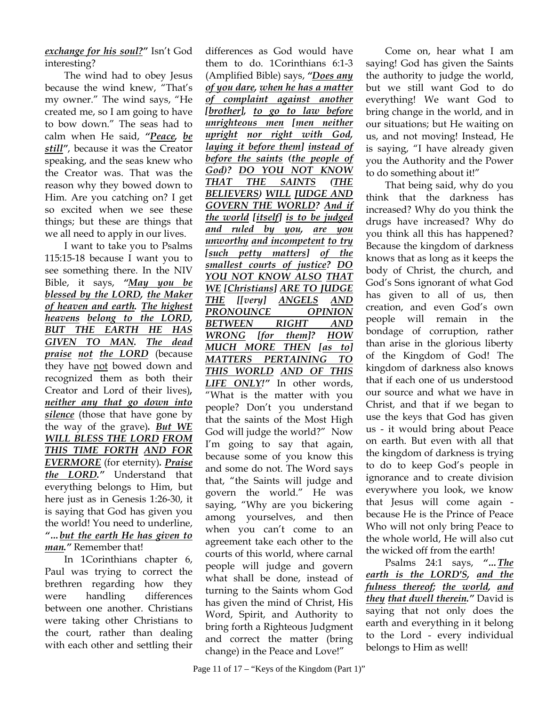*exchange for his soul?"* Isn't God interesting?

The wind had to obey Jesus because the wind knew, "That's my owner." The wind says, "He created me, so I am going to have to bow down." The seas had to calm when He said, *"Peace, be still"*, because it was the Creator speaking, and the seas knew who the Creator was. That was the reason why they bowed down to Him. Are you catching on? I get so excited when we see these things; but these are things that we all need to apply in our lives.

I want to take you to Psalms 115:15-18 because I want you to see something there. In the NIV Bible, it says, *"May you be blessed by the LORD, the Maker of heaven and earth. The highest heavens belong to the LORD, BUT THE EARTH HE HAS GIVEN TO MAN. The dead praise not the LORD* (because they have not bowed down and recognized them as both their Creator and Lord of their lives)*, neither any that go down into*  **silence** (those that have gone by the way of the grave)*. But WE WILL BLESS THE LORD FROM THIS TIME FORTH AND FOR EVERMORE* (for eternity)*. Praise the LORD."* Understand that everything belongs to Him, but here just as in Genesis 1:26-30, it is saying that God has given you the world! You need to underline, *"…but the earth He has given to man."* Remember that!

In 1Corinthians chapter 6, Paul was trying to correct the brethren regarding how they were handling differences between one another. Christians were taking other Christians to the court, rather than dealing with each other and settling their

differences as God would have them to do. 1Corinthians 6:1-3 (Amplified Bible) says, *"Does any of you dare, when he has a matter of complaint against another [brother], to go to law before unrighteous men [men neither upright nor right with God, laying it before them] instead of before the saints (the people of God)? DO YOU NOT KNOW THAT THE SAINTS (THE BELIEVERS) WILL JUDGE AND GOVERN THE WORLD? And if the world [itself] is to be judged and ruled by you, are you unworthy and incompetent to try [such petty matters] of the smallest courts of justice? DO YOU NOT KNOW ALSO THAT WE [Christians] ARE TO JUDGE THE [[very] ANGELS AND PRONOUNCE OPINION BETWEEN RIGHT AND WRONG [for them]? HOW MUCH MORE THEN [as to] MATTERS PERTAINING TO THIS WORLD AND OF THIS LIFE ONLY!"* In other words, "What is the matter with you people? Don't you understand that the saints of the Most High God will judge the world?" Now I'm going to say that again, because some of you know this and some do not. The Word says that, "the Saints will judge and govern the world." He was saying, "Why are you bickering among yourselves, and then when you can't come to an agreement take each other to the courts of this world, where carnal people will judge and govern what shall be done, instead of turning to the Saints whom God has given the mind of Christ, His Word, Spirit, and Authority to bring forth a Righteous Judgment and correct the matter (bring change) in the Peace and Love!"

Come on, hear what I am saying! God has given the Saints the authority to judge the world, but we still want God to do everything! We want God to bring change in the world, and in our situations; but He waiting on us, and not moving! Instead, He is saying, "I have already given you the Authority and the Power to do something about it!"

That being said, why do you think that the darkness has increased? Why do you think the drugs have increased? Why do you think all this has happened? Because the kingdom of darkness knows that as long as it keeps the body of Christ, the church, and God's Sons ignorant of what God has given to all of us, then creation, and even God's own people will remain in the bondage of corruption, rather than arise in the glorious liberty of the Kingdom of God! The kingdom of darkness also knows that if each one of us understood our source and what we have in Christ, and that if we began to use the keys that God has given us - it would bring about Peace on earth. But even with all that the kingdom of darkness is trying to do to keep God's people in ignorance and to create division everywhere you look, we know that Jesus will come again because He is the Prince of Peace Who will not only bring Peace to the whole world, He will also cut the wicked off from the earth!

Psalms 24:1 says, *"…The earth is the LORD'S, and the fulness thereof; the world, and they that dwell therein."* David is saying that not only does the earth and everything in it belong to the Lord - every individual belongs to Him as well!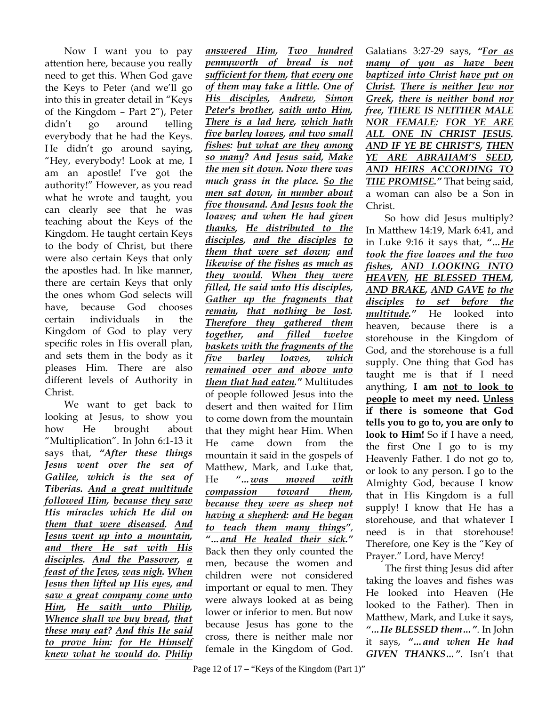Now I want you to pay attention here, because you really need to get this. When God gave the Keys to Peter (and we'll go into this in greater detail in "Keys of the Kingdom – Part 2"), Peter didn't go around telling everybody that he had the Keys. He didn't go around saying, "Hey, everybody! Look at me, I am an apostle! I've got the authority!" However, as you read what he wrote and taught, you can clearly see that he was teaching about the Keys of the Kingdom. He taught certain Keys to the body of Christ, but there were also certain Keys that only the apostles had. In like manner, there are certain Keys that only the ones whom God selects will have, because God chooses certain individuals in the Kingdom of God to play very specific roles in His overall plan, and sets them in the body as it pleases Him. There are also different levels of Authority in Christ.

We want to get back to looking at Jesus, to show you how He brought about "Multiplication". In John 6:1-13 it says that, *"After these things Jesus went over the sea of Galilee, which is the sea of Tiberias. And a great multitude followed Him, because they saw His miracles which He did on them that were diseased. And Jesus went up into a mountain, and there He sat with His disciples. And the Passover, a feast of the Jews, was nigh. When Jesus then lifted up His eyes, and saw a great company come unto Him, He saith unto Philip, Whence shall we buy bread, that these may eat? And this He said to prove him: for He Himself knew what he would do. Philip* 

*answered Him, Two hundred pennyworth of bread is not sufficient for them, that every one of them may take a little. One of His disciples, Andrew, Simon Peter's brother, saith unto Him, There is a lad here, which hath five barley loaves, and two small fishes: but what are they among so many? And Jesus said, Make the men sit down. Now there was much grass in the place. So the men sat down, in number about five thousand. And Jesus took the loaves; and when He had given thanks, He distributed to the disciples, and the disciples to them that were set down; and likewise of the fishes as much as they would. When they were filled, He said unto His disciples, Gather up the fragments that remain, that nothing be lost. Therefore they gathered them together, and filled twelve baskets with the fragments of the five barley loaves, which remained over and above unto them that had eaten."* Multitudes of people followed Jesus into the desert and then waited for Him to come down from the mountain that they might hear Him. When He came down from the mountain it said in the gospels of Matthew, Mark, and Luke that, He *"…was moved with compassion toward them, because they were as sheep not having a shepherd: and He began to teach them many things"*, *"…and He healed their sick."* Back then they only counted the men, because the women and children were not considered important or equal to men. They were always looked at as being lower or inferior to men. But now because Jesus has gone to the cross, there is neither male nor female in the Kingdom of God.

Galatians 3:27-29 says, *"For as many of you as have been baptized into Christ have put on Christ. There is neither Jew nor Greek, there is neither bond nor free, THERE IS NEITHER MALE NOR FEMALE: FOR YE ARE ALL ONE IN CHRIST JESUS. AND IF YE BE CHRIST'S, THEN YE ARE ABRAHAM'S SEED, AND HEIRS ACCORDING TO THE PROMISE."* That being said, a woman can also be a Son in Christ.

So how did Jesus multiply? In Matthew 14:19, Mark 6:41, and in Luke 9:16 it says that, *"…He took the five loaves and the two fishes, AND LOOKING INTO HEAVEN, HE BLESSED THEM, AND BRAKE, AND GAVE to the disciples to set before the multitude."* He looked into heaven, because there is a storehouse in the Kingdom of God, and the storehouse is a full supply. One thing that God has taught me is that if I need anything, **I am not to look to people to meet my need. Unless if there is someone that God tells you to go to, you are only to look to Him!** So if I have a need, the first One I go to is my Heavenly Father. I do not go to, or look to any person. I go to the Almighty God, because I know that in His Kingdom is a full supply! I know that He has a storehouse, and that whatever I need is in that storehouse! Therefore, one Key is the "Key of Prayer." Lord, have Mercy!

The first thing Jesus did after taking the loaves and fishes was He looked into Heaven (He looked to the Father). Then in Matthew, Mark, and Luke it says, *"…He BLESSED them…"*. In John it says, *"…and when He had GIVEN THANKS…"*. Isn't that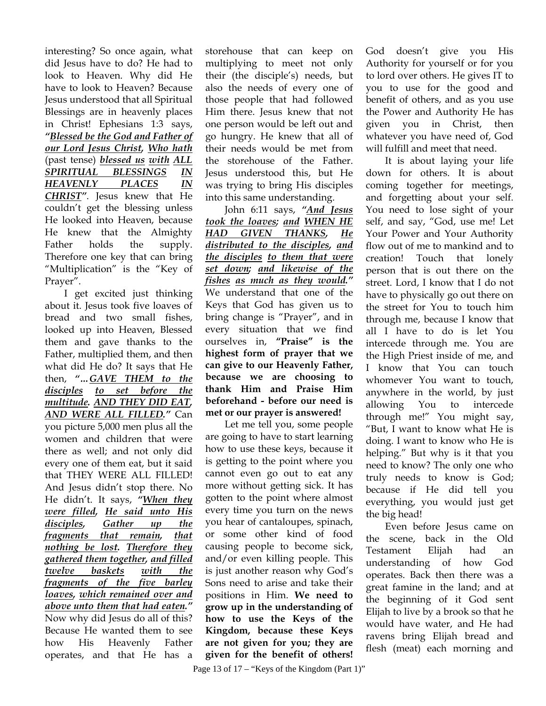interesting? So once again, what did Jesus have to do? He had to look to Heaven. Why did He have to look to Heaven? Because Jesus understood that all Spiritual Blessings are in heavenly places in Christ! Ephesians 1:3 says, *"Blessed be the God and Father of our Lord Jesus Christ, Who hath* (past tense) *blessed us with ALL SPIRITUAL BLESSINGS IN HEAVENLY PLACES IN CHRIST"*. Jesus knew that He couldn't get the blessing unless He looked into Heaven, because He knew that the Almighty Father holds the supply. Therefore one key that can bring "Multiplication" is the "Key of Prayer".

I get excited just thinking about it. Jesus took five loaves of bread and two small fishes, looked up into Heaven, Blessed them and gave thanks to the Father, multiplied them, and then what did He do? It says that He then, *"…GAVE THEM to the disciples to set before the multitude. AND THEY DID EAT, AND WERE ALL FILLED."* Can you picture 5,000 men plus all the women and children that were there as well; and not only did every one of them eat, but it said that THEY WERE ALL FILLED! And Jesus didn't stop there. No He didn't. It says, *"When they were filled, He said unto His disciples, Gather up the fragments that remain, that nothing be lost. Therefore they gathered them together, and filled twelve baskets with the fragments of the five barley loaves, which remained over and above unto them that had eaten."* Now why did Jesus do all of this? Because He wanted them to see how His Heavenly Father operates, and that He has a

storehouse that can keep on multiplying to meet not only their (the disciple's) needs, but also the needs of every one of those people that had followed Him there. Jesus knew that not one person would be left out and go hungry. He knew that all of their needs would be met from the storehouse of the Father. Jesus understood this, but He was trying to bring His disciples into this same understanding.

John 6:11 says, *"And Jesus took the loaves; and WHEN HE HAD GIVEN THANKS, He distributed to the disciples, and the disciples to them that were set down; and likewise of the fishes as much as they would."*  We understand that one of the Keys that God has given us to bring change is "Prayer", and in every situation that we find ourselves in, **"Praise" is the highest form of prayer that we can give to our Heavenly Father, because we are choosing to thank Him and Praise Him beforehand - before our need is met or our prayer is answered!**

Let me tell you, some people are going to have to start learning how to use these keys, because it is getting to the point where you cannot even go out to eat any more without getting sick. It has gotten to the point where almost every time you turn on the news you hear of cantaloupes, spinach, or some other kind of food causing people to become sick, and/or even killing people. This is just another reason why God's Sons need to arise and take their positions in Him. **We need to grow up in the understanding of how to use the Keys of the Kingdom, because these Keys are not given for you; they are given for the benefit of others!**

God doesn't give you His Authority for yourself or for you to lord over others. He gives IT to you to use for the good and benefit of others, and as you use the Power and Authority He has given you in Christ, then whatever you have need of, God will fulfill and meet that need.

It is about laying your life down for others. It is about coming together for meetings, and forgetting about your self. You need to lose sight of your self, and say, "God, use me! Let Your Power and Your Authority flow out of me to mankind and to creation! Touch that lonely person that is out there on the street. Lord, I know that I do not have to physically go out there on the street for You to touch him through me, because I know that all I have to do is let You intercede through me. You are the High Priest inside of me, and I know that You can touch whomever You want to touch, anywhere in the world, by just allowing You to intercede through me!" You might say, "But, I want to know what He is doing. I want to know who He is helping." But why is it that you need to know? The only one who truly needs to know is God; because if He did tell you everything, you would just get the big head!

Even before Jesus came on the scene, back in the Old Testament Elijah had an understanding of how God operates. Back then there was a great famine in the land; and at the beginning of it God sent Elijah to live by a brook so that he would have water, and He had ravens bring Elijah bread and flesh (meat) each morning and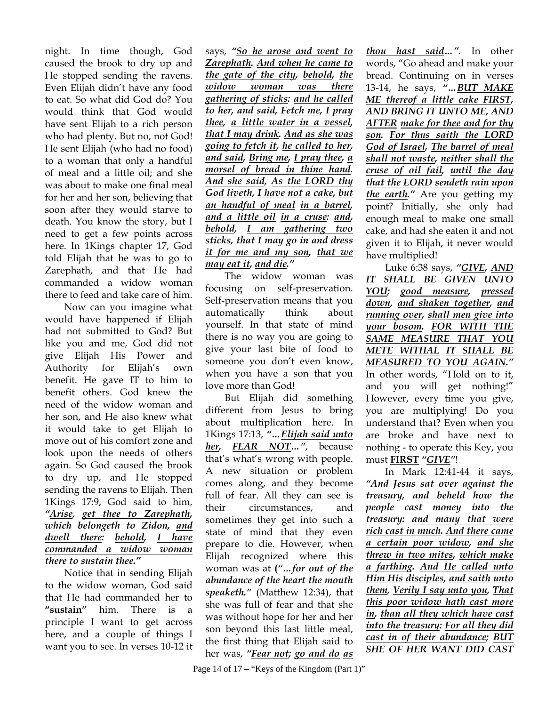night. In time though, God caused the brook to dry up and He stopped sending the ravens. Even Elijah didn't have any food to eat. So what did God do? You would think that God would have sent Elijah to a rich person who had plenty. But no, not God! He sent Elijah (who had no food) to a woman that only a handful of meal and a little oil; and she was about to make one final meal for her and her son, believing that soon after they would starve to death. You know the story, but I need to get a few points across here. In 1Kings chapter 17, God told Elijah that he was to go to Zarephath, and that He had commanded a widow woman there to feed and take care of him.

Now can you imagine what would have happened if Elijah had not submitted to God? But like you and me, God did not give Elijah His Power and Authority for Elijah's own benefit. He gave IT to him to benefit others. God knew the need of the widow woman and her son, and He also knew what it would take to get Elijah to move out of his comfort zone and look upon the needs of others again. So God caused the brook to dry up, and He stopped sending the ravens to Elijah. Then 1Kings 17:9, God said to him, *"Arise, get thee to Zarephath, which belongeth to Zidon, and dwell there: behold, I have commanded a widow woman there to sustain thee."* 

Notice that in sending Elijah to the widow woman, God said that He had commanded her to **"sustain"** him. There is a principle I want to get across here, and a couple of things I want you to see. In verses 10-12 it

says, *"So he arose and went to Zarephath. And when he came to the gate of the city, behold, the widow woman was there gathering of sticks: and he called to her, and said, Fetch me, I pray thee, a little water in a vessel, that I may drink. And as she was going to fetch it, he called to her, and said, Bring me, I pray thee, a morsel of bread in thine hand. And she said, As the LORD thy God liveth, I have not a cake, but an handful of meal in a barrel, and a little oil in a cruse: and, behold, I am gathering two sticks, that I may go in and dress it for me and my son, that we may eat it, and die."*

The widow woman was focusing on self-preservation. Self-preservation means that you automatically think about yourself. In that state of mind there is no way you are going to give your last bite of food to someone you don't even know, when you have a son that you love more than God!

But Elijah did something different from Jesus to bring about multiplication here. In 1Kings 17:13, *"…Elijah said unto her, FEAR NOT…"*, because that's what's wrong with people. A new situation or problem comes along, and they become full of fear. All they can see is their circumstances, and sometimes they get into such a state of mind that they even prepare to die. However, when Elijah recognized where this woman was at **(***"…for out of the abundance of the heart the mouth speaketh."* (Matthew 12:34), that she was full of fear and that she was without hope for her and her son beyond this last little meal, the first thing that Elijah said to her was, *"Fear not; go and do as* 

*thou hast said…".* In other words, "Go ahead and make your bread. Continuing on in verses 13-14, he says, *"…BUT MAKE ME thereof a little cake FIRST, AND BRING IT UNTO ME, AND AFTER make for thee and for thy son. For thus saith the LORD God of Israel, The barrel of meal shall not waste, neither shall the cruse of oil fail, until the day that the LORD sendeth rain upon the earth."* Are you getting my point? Initially, she only had enough meal to make one small cake, and had she eaten it and not given it to Elijah, it never would have multiplied!

Luke 6:38 says, *"GIVE, AND IT SHALL BE GIVEN UNTO YOU; good measure, pressed down, and shaken together, and running over, shall men give into your bosom. FOR WITH THE SAME MEASURE THAT YOU METE WITHAL IT SHALL BE MEASURED TO YOU AGAIN."* In other words, "Hold on to it, and you will get nothing!" However, every time you give, you are multiplying! Do you understand that? Even when you are broke and have next to nothing - to operate this Key, you must **FIRST** *"GIVE"*!

In Mark 12:41-44 it says, *"And Jesus sat over against the treasury, and beheld how the people cast money into the treasury: and many that were rich cast in much. And there came a certain poor widow, and she threw in two mites, which make a farthing. And He called unto Him His disciples, and saith unto them, Verily I say unto you, That this poor widow hath cast more in, than all they which have cast into the treasury: For all they did cast in of their abundance; BUT SHE OF HER WANT DID CAST*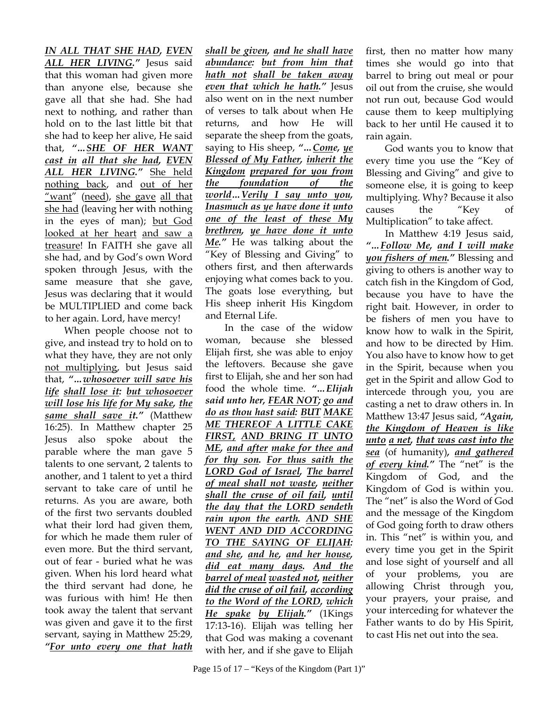*IN ALL THAT SHE HAD, EVEN ALL HER LIVING."* Jesus said that this woman had given more than anyone else, because she gave all that she had. She had next to nothing, and rather than hold on to the last little bit that she had to keep her alive, He said that, *"…SHE OF HER WANT cast in all that she had, EVEN ALL HER LIVING."* She held nothing back, and out of her "want" (need), she gave all that she had (leaving her with nothing in the eyes of man); but God looked at her heart and saw a treasure! In FAITH she gave all she had, and by God's own Word spoken through Jesus, with the same measure that she gave, Jesus was declaring that it would be MULTIPLIED and come back to her again. Lord, have mercy!

When people choose not to give, and instead try to hold on to what they have, they are not only not multiplying, but Jesus said that, *"…whosoever will save his life shall lose it: but whosoever will lose his life for My sake, the same shall save it."* (Matthew 16:25). In Matthew chapter 25 Jesus also spoke about the parable where the man gave 5 talents to one servant, 2 talents to another, and 1 talent to yet a third servant to take care of until he returns. As you are aware, both of the first two servants doubled what their lord had given them, for which he made them ruler of even more. But the third servant, out of fear - buried what he was given. When his lord heard what the third servant had done, he was furious with him! He then took away the talent that servant was given and gave it to the first servant, saying in Matthew 25:29, *"For unto every one that hath*

*shall be given, and he shall have abundance: but from him that hath not shall be taken away even that which he hath."* Jesus also went on in the next number of verses to talk about when He returns, and how He will separate the sheep from the goats, saying to His sheep, *"…Come, ye Blessed of My Father, inherit the Kingdom prepared for you from the foundation of the world…Verily I say unto you, Inasmuch as ye have done it unto one of the least of these My brethren, ye have done it unto Me."* He was talking about the "Key of Blessing and Giving" to others first, and then afterwards enjoying what comes back to you. The goats lose everything, but His sheep inherit His Kingdom and Eternal Life.

In the case of the widow woman, because she blessed Elijah first, she was able to enjoy the leftovers. Because she gave first to Elijah, she and her son had food the whole time. *"…Elijah said unto her, FEAR NOT; go and do as thou hast said: BUT MAKE ME THEREOF A LITTLE CAKE FIRST, AND BRING IT UNTO ME, and after make for thee and for thy son. For thus saith the LORD God of Israel, The barrel of meal shall not waste, neither shall the cruse of oil fail, until the day that the LORD sendeth rain upon the earth. AND SHE WENT AND DID ACCORDING TO THE SAYING OF ELIJAH: and she, and he, and her house, did eat many days. And the barrel of meal wasted not, neither did the cruse of oil fail, according to the Word of the LORD, which He spake by Elijah."* (1Kings 17:13-16). Elijah was telling her that God was making a covenant with her, and if she gave to Elijah

first, then no matter how many times she would go into that barrel to bring out meal or pour oil out from the cruise, she would not run out, because God would cause them to keep multiplying back to her until He caused it to rain again.

God wants you to know that every time you use the "Key of Blessing and Giving" and give to someone else, it is going to keep multiplying. Why? Because it also causes the "Key of Multiplication" to take affect.

In Matthew 4:19 Jesus said, *"…Follow Me, and I will make you fishers of men."* Blessing and giving to others is another way to catch fish in the Kingdom of God, because you have to have the right bait. However, in order to be fishers of men you have to know how to walk in the Spirit, and how to be directed by Him. You also have to know how to get in the Spirit, because when you get in the Spirit and allow God to intercede through you, you are casting a net to draw others in. In Matthew 13:47 Jesus said, *"Again, the Kingdom of Heaven is like unto a net, that was cast into the sea* (of humanity)*, and gathered of every kind."* The "net" is the Kingdom of God, and the Kingdom of God is within you. The "net" is also the Word of God and the message of the Kingdom of God going forth to draw others in. This "net" is within you, and every time you get in the Spirit and lose sight of yourself and all of your problems, you are allowing Christ through you, your prayers, your praise, and your interceding for whatever the Father wants to do by His Spirit, to cast His net out into the sea.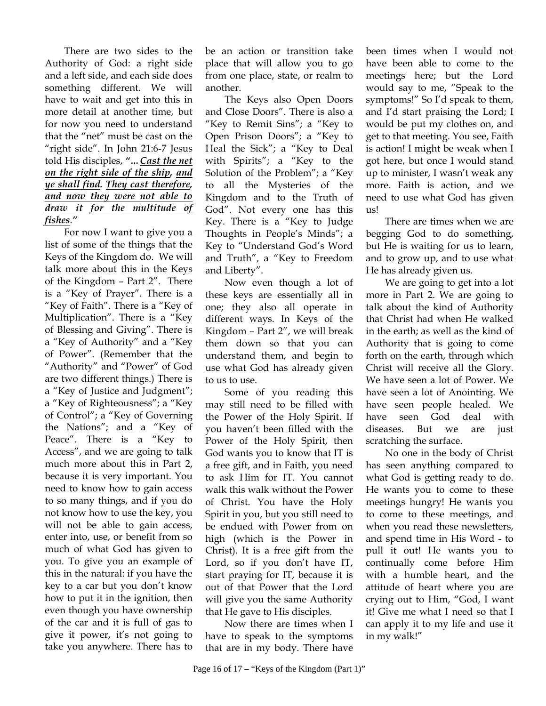There are two sides to the Authority of God: a right side and a left side, and each side does something different. We will have to wait and get into this in more detail at another time, but for now you need to understand that the "net" must be cast on the "right side". In John 21:6-7 Jesus told His disciples, *"…Cast the net on the right side of the ship, and ye shall find. They cast therefore, and now they were not able to draw it for the multitude of fishes*.*"*

 For now I want to give you a list of some of the things that the Keys of the Kingdom do. We will talk more about this in the Keys of the Kingdom – Part 2". There is a "Key of Prayer". There is a "Key of Faith". There is a "Key of Multiplication". There is a "Key of Blessing and Giving". There is a "Key of Authority" and a "Key of Power". (Remember that the "Authority" and "Power" of God are two different things.) There is a "Key of Justice and Judgment"; a "Key of Righteousness"; a "Key of Control"; a "Key of Governing the Nations"; and a "Key of Peace". There is a "Key to Access", and we are going to talk much more about this in Part 2, because it is very important. You need to know how to gain access to so many things, and if you do not know how to use the key, you will not be able to gain access, enter into, use, or benefit from so much of what God has given to you. To give you an example of this in the natural: if you have the key to a car but you don't know how to put it in the ignition, then even though you have ownership of the car and it is full of gas to give it power, it's not going to take you anywhere. There has to

be an action or transition take place that will allow you to go from one place, state, or realm to another.

The Keys also Open Doors and Close Doors". There is also a "Key to Remit Sins"; a "Key to Open Prison Doors"; a "Key to Heal the Sick"; a "Key to Deal with Spirits"; a "Key to the Solution of the Problem"; a "Key to all the Mysteries of the Kingdom and to the Truth of God". Not every one has this Key. There is a "Key to Judge Thoughts in People's Minds"; a Key to "Understand God's Word and Truth", a "Key to Freedom and Liberty".

Now even though a lot of these keys are essentially all in one; they also all operate in different ways. In Keys of the Kingdom – Part 2", we will break them down so that you can understand them, and begin to use what God has already given to us to use.

Some of you reading this may still need to be filled with the Power of the Holy Spirit. If you haven't been filled with the Power of the Holy Spirit, then God wants you to know that IT is a free gift, and in Faith, you need to ask Him for IT. You cannot walk this walk without the Power of Christ. You have the Holy Spirit in you, but you still need to be endued with Power from on high (which is the Power in Christ). It is a free gift from the Lord, so if you don't have IT, start praying for IT, because it is out of that Power that the Lord will give you the same Authority that He gave to His disciples.

Now there are times when I have to speak to the symptoms that are in my body. There have been times when I would not have been able to come to the meetings here; but the Lord would say to me, "Speak to the symptoms!" So I'd speak to them, and I'd start praising the Lord; I would be put my clothes on, and get to that meeting. You see, Faith is action! I might be weak when I got here, but once I would stand up to minister, I wasn't weak any more. Faith is action, and we need to use what God has given us!

There are times when we are begging God to do something, but He is waiting for us to learn, and to grow up, and to use what He has already given us.

We are going to get into a lot more in Part 2. We are going to talk about the kind of Authority that Christ had when He walked in the earth; as well as the kind of Authority that is going to come forth on the earth, through which Christ will receive all the Glory. We have seen a lot of Power. We have seen a lot of Anointing. We have seen people healed. We have seen God deal with diseases. But we are just scratching the surface.

No one in the body of Christ has seen anything compared to what God is getting ready to do. He wants you to come to these meetings hungry! He wants you to come to these meetings, and when you read these newsletters, and spend time in His Word - to pull it out! He wants you to continually come before Him with a humble heart, and the attitude of heart where you are crying out to Him, "God, I want it! Give me what I need so that I can apply it to my life and use it in my walk!"